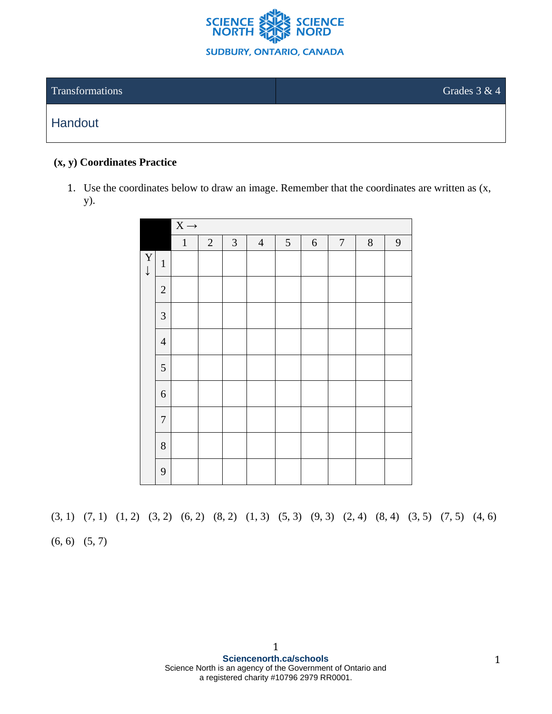

### $\alpha$  Transformations Grades 3 & 4

## **Handout**

#### **(x, y) Coordinates Practice**

1. Use the coordinates below to draw an image. Remember that the coordinates are written as (x, y).

|                             |                             | $\overline{X}$ $\rightarrow$ |            |            |                |                |            |                  |        |              |  |  |
|-----------------------------|-----------------------------|------------------------------|------------|------------|----------------|----------------|------------|------------------|--------|--------------|--|--|
|                             |                             | $\,1\,$                      | $\sqrt{2}$ | $\sqrt{3}$ | $\overline{4}$ | $\mathfrak{S}$ | $\sqrt{6}$ | $\boldsymbol{7}$ | $\, 8$ | $\mathbf{9}$ |  |  |
| $\mathbf Y$<br>$\downarrow$ | $\mathbf 1$                 |                              |            |            |                |                |            |                  |        |              |  |  |
|                             | $\sqrt{2}$                  |                              |            |            |                |                |            |                  |        |              |  |  |
|                             | $\ensuremath{\mathfrak{Z}}$ |                              |            |            |                |                |            |                  |        |              |  |  |
|                             | $\overline{4}$              |                              |            |            |                |                |            |                  |        |              |  |  |
|                             | $\sqrt{5}$                  |                              |            |            |                |                |            |                  |        |              |  |  |
|                             | $\sqrt{6}$                  |                              |            |            |                |                |            |                  |        |              |  |  |
|                             | $\boldsymbol{7}$            |                              |            |            |                |                |            |                  |        |              |  |  |
|                             | $8\,$                       |                              |            |            |                |                |            |                  |        |              |  |  |
|                             | 9                           |                              |            |            |                |                |            |                  |        |              |  |  |

(3, 1) (7, 1) (1, 2) (3, 2) (6, 2) (8, 2) (1, 3) (5, 3) (9, 3) (2, 4) (8, 4) (3, 5) (7, 5) (4, 6)

 $(6, 6)$   $(5, 7)$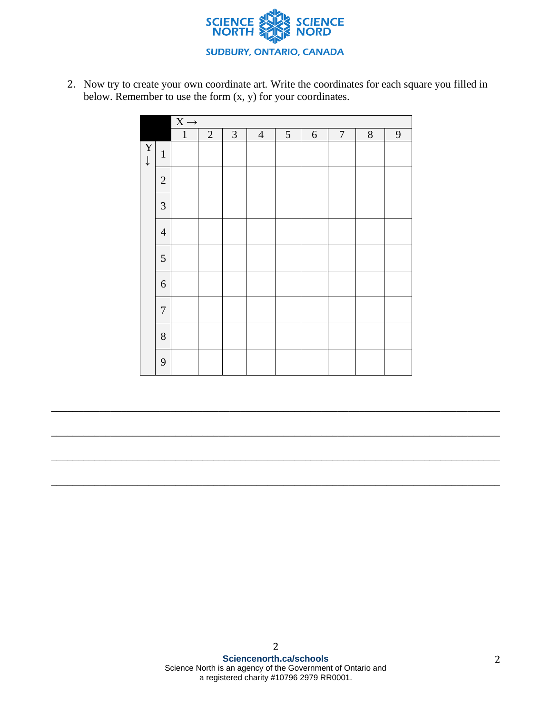

2. Now try to create your own coordinate art. Write the coordinates for each square you filled in below. Remember to use the form  $(x, y)$  for your coordinates.

|                                         |                  | $\overline{X} \rightarrow$ |                |                |                |               |            |                  |       |   |  |  |  |
|-----------------------------------------|------------------|----------------------------|----------------|----------------|----------------|---------------|------------|------------------|-------|---|--|--|--|
|                                         |                  | $\mathbf{1}$               | $\overline{2}$ | $\mathfrak{Z}$ | $\overline{4}$ | $\mathfrak s$ | $\sqrt{6}$ | $\boldsymbol{7}$ | $8\,$ | 9 |  |  |  |
| $\overline{\mathbf{Y}}$<br>$\downarrow$ | $\mathbf 1$      |                            |                |                |                |               |            |                  |       |   |  |  |  |
|                                         | $\sqrt{2}$       |                            |                |                |                |               |            |                  |       |   |  |  |  |
|                                         | $\mathfrak{Z}$   |                            |                |                |                |               |            |                  |       |   |  |  |  |
|                                         | $\overline{4}$   |                            |                |                |                |               |            |                  |       |   |  |  |  |
|                                         | $\mathfrak s$    |                            |                |                |                |               |            |                  |       |   |  |  |  |
|                                         | $\boldsymbol{6}$ |                            |                |                |                |               |            |                  |       |   |  |  |  |
|                                         | $\boldsymbol{7}$ |                            |                |                |                |               |            |                  |       |   |  |  |  |
|                                         | $8\,$            |                            |                |                |                |               |            |                  |       |   |  |  |  |
|                                         | 9                |                            |                |                |                |               |            |                  |       |   |  |  |  |

\_\_\_\_\_\_\_\_\_\_\_\_\_\_\_\_\_\_\_\_\_\_\_\_\_\_\_\_\_\_\_\_\_\_\_\_\_\_\_\_\_\_\_\_\_\_\_\_\_\_\_\_\_\_\_\_\_\_\_\_\_\_\_\_\_\_\_\_\_\_\_\_\_\_\_\_\_\_\_\_\_\_\_

\_\_\_\_\_\_\_\_\_\_\_\_\_\_\_\_\_\_\_\_\_\_\_\_\_\_\_\_\_\_\_\_\_\_\_\_\_\_\_\_\_\_\_\_\_\_\_\_\_\_\_\_\_\_\_\_\_\_\_\_\_\_\_\_\_\_\_\_\_\_\_\_\_\_\_\_\_\_\_\_\_\_\_

\_\_\_\_\_\_\_\_\_\_\_\_\_\_\_\_\_\_\_\_\_\_\_\_\_\_\_\_\_\_\_\_\_\_\_\_\_\_\_\_\_\_\_\_\_\_\_\_\_\_\_\_\_\_\_\_\_\_\_\_\_\_\_\_\_\_\_\_\_\_\_\_\_\_\_\_\_\_\_\_\_\_\_

\_\_\_\_\_\_\_\_\_\_\_\_\_\_\_\_\_\_\_\_\_\_\_\_\_\_\_\_\_\_\_\_\_\_\_\_\_\_\_\_\_\_\_\_\_\_\_\_\_\_\_\_\_\_\_\_\_\_\_\_\_\_\_\_\_\_\_\_\_\_\_\_\_\_\_\_\_\_\_\_\_\_\_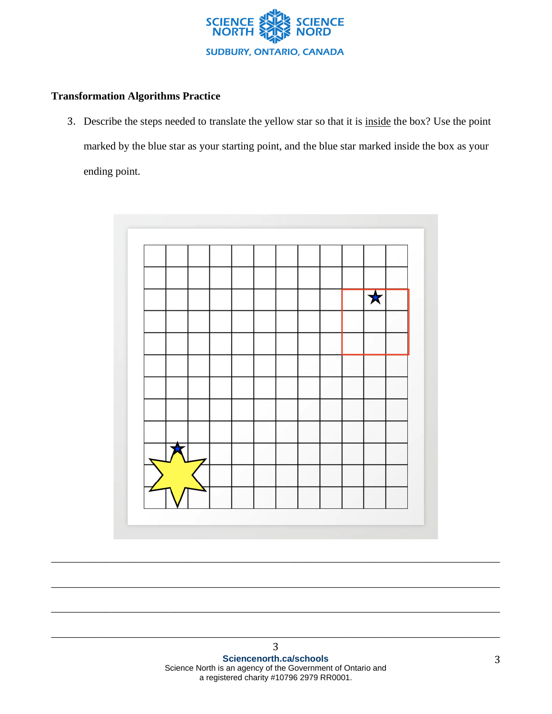

### **Transformation Algorithms Practice**

3. Describe the steps needed to translate the yellow star so that it is inside the box? Use the point marked by the blue star as your starting point, and the blue star marked inside the box as your ending point.



\_\_\_\_\_\_\_\_\_\_\_\_\_\_\_\_\_\_\_\_\_\_\_\_\_\_\_\_\_\_\_\_\_\_\_\_\_\_\_\_\_\_\_\_\_\_\_\_\_\_\_\_\_\_\_\_\_\_\_\_\_\_\_\_\_\_\_\_\_\_\_\_\_\_\_\_\_\_\_\_\_\_\_

\_\_\_\_\_\_\_\_\_\_\_\_\_\_\_\_\_\_\_\_\_\_\_\_\_\_\_\_\_\_\_\_\_\_\_\_\_\_\_\_\_\_\_\_\_\_\_\_\_\_\_\_\_\_\_\_\_\_\_\_\_\_\_\_\_\_\_\_\_\_\_\_\_\_\_\_\_\_\_\_\_\_\_

\_\_\_\_\_\_\_\_\_\_\_\_\_\_\_\_\_\_\_\_\_\_\_\_\_\_\_\_\_\_\_\_\_\_\_\_\_\_\_\_\_\_\_\_\_\_\_\_\_\_\_\_\_\_\_\_\_\_\_\_\_\_\_\_\_\_\_\_\_\_\_\_\_\_\_\_\_\_\_\_\_\_\_

\_\_\_\_\_\_\_\_\_\_\_\_\_\_\_\_\_\_\_\_\_\_\_\_\_\_\_\_\_\_\_\_\_\_\_\_\_\_\_\_\_\_\_\_\_\_\_\_\_\_\_\_\_\_\_\_\_\_\_\_\_\_\_\_\_\_\_\_\_\_\_\_\_\_\_\_\_\_\_\_\_\_\_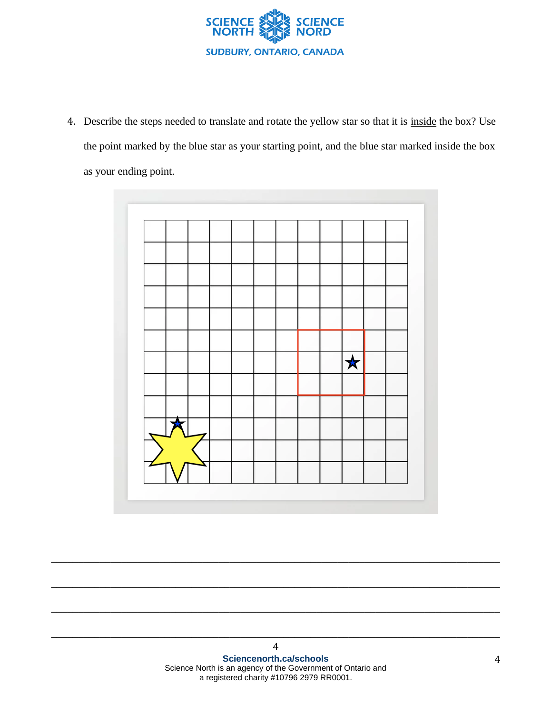

4. Describe the steps needed to translate and rotate the yellow star so that it is inside the box? Use the point marked by the blue star as your starting point, and the blue star marked inside the box as your ending point.



\_\_\_\_\_\_\_\_\_\_\_\_\_\_\_\_\_\_\_\_\_\_\_\_\_\_\_\_\_\_\_\_\_\_\_\_\_\_\_\_\_\_\_\_\_\_\_\_\_\_\_\_\_\_\_\_\_\_\_\_\_\_\_\_\_\_\_\_\_\_\_\_\_\_\_\_\_\_\_\_\_\_\_

\_\_\_\_\_\_\_\_\_\_\_\_\_\_\_\_\_\_\_\_\_\_\_\_\_\_\_\_\_\_\_\_\_\_\_\_\_\_\_\_\_\_\_\_\_\_\_\_\_\_\_\_\_\_\_\_\_\_\_\_\_\_\_\_\_\_\_\_\_\_\_\_\_\_\_\_\_\_\_\_\_\_\_

\_\_\_\_\_\_\_\_\_\_\_\_\_\_\_\_\_\_\_\_\_\_\_\_\_\_\_\_\_\_\_\_\_\_\_\_\_\_\_\_\_\_\_\_\_\_\_\_\_\_\_\_\_\_\_\_\_\_\_\_\_\_\_\_\_\_\_\_\_\_\_\_\_\_\_\_\_\_\_\_\_\_\_

\_\_\_\_\_\_\_\_\_\_\_\_\_\_\_\_\_\_\_\_\_\_\_\_\_\_\_\_\_\_\_\_\_\_\_\_\_\_\_\_\_\_\_\_\_\_\_\_\_\_\_\_\_\_\_\_\_\_\_\_\_\_\_\_\_\_\_\_\_\_\_\_\_\_\_\_\_\_\_\_\_\_\_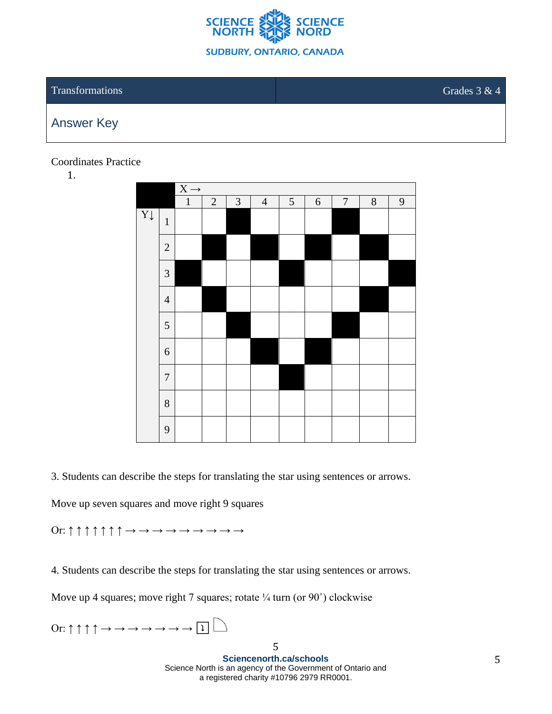

### **Transformations** Grades 3 & 4

# Answer Key

Coordinates Practice

1.

|                | $X \rightarrow$ |              |            |                             |                |                |            |                  |   |                |
|----------------|-----------------|--------------|------------|-----------------------------|----------------|----------------|------------|------------------|---|----------------|
|                |                 | $\mathbf{1}$ | $\sqrt{2}$ | $\ensuremath{\mathfrak{Z}}$ | $\overline{4}$ | $\mathfrak{S}$ | $\sqrt{6}$ | $\boldsymbol{7}$ | 8 | $\overline{9}$ |
| $Y \downarrow$ | $\,1\,$         |              |            |                             |                |                |            |                  |   |                |
|                | $\mathbf{2}$    |              |            |                             |                |                |            |                  |   |                |
|                | $\overline{3}$  |              |            |                             |                |                |            |                  |   |                |
|                | $\overline{4}$  |              |            |                             |                |                |            |                  |   |                |
|                | $\mathfrak s$   |              |            |                             |                |                |            |                  |   |                |
|                | $\sqrt{6}$      |              |            |                             |                |                |            |                  |   |                |
|                | $\overline{7}$  |              |            |                             |                |                |            |                  |   |                |
|                | 8               |              |            |                             |                |                |            |                  |   |                |
|                | 9               |              |            |                             |                |                |            |                  |   |                |

3. Students can describe the steps for translating the star using sentences or arrows.

Move up seven squares and move right 9 squares

Or: ↑ ↑ ↑ ↑ ↑ ↑ ↑ → → → → → → → → →

4. Students can describe the steps for translating the star using sentences or arrows.

Move up 4 squares; move right 7 squares; rotate  $\frac{1}{4}$  turn (or 90 $\degree$ ) clockwise

Or:  $\uparrow \uparrow \uparrow \uparrow \rightarrow \rightarrow \rightarrow \rightarrow \rightarrow \rightarrow \Box$ 

5 **Sciencenorth.ca/schools** Science North is an agency of the Government of Ontario and a registered charity #10796 2979 RR0001.